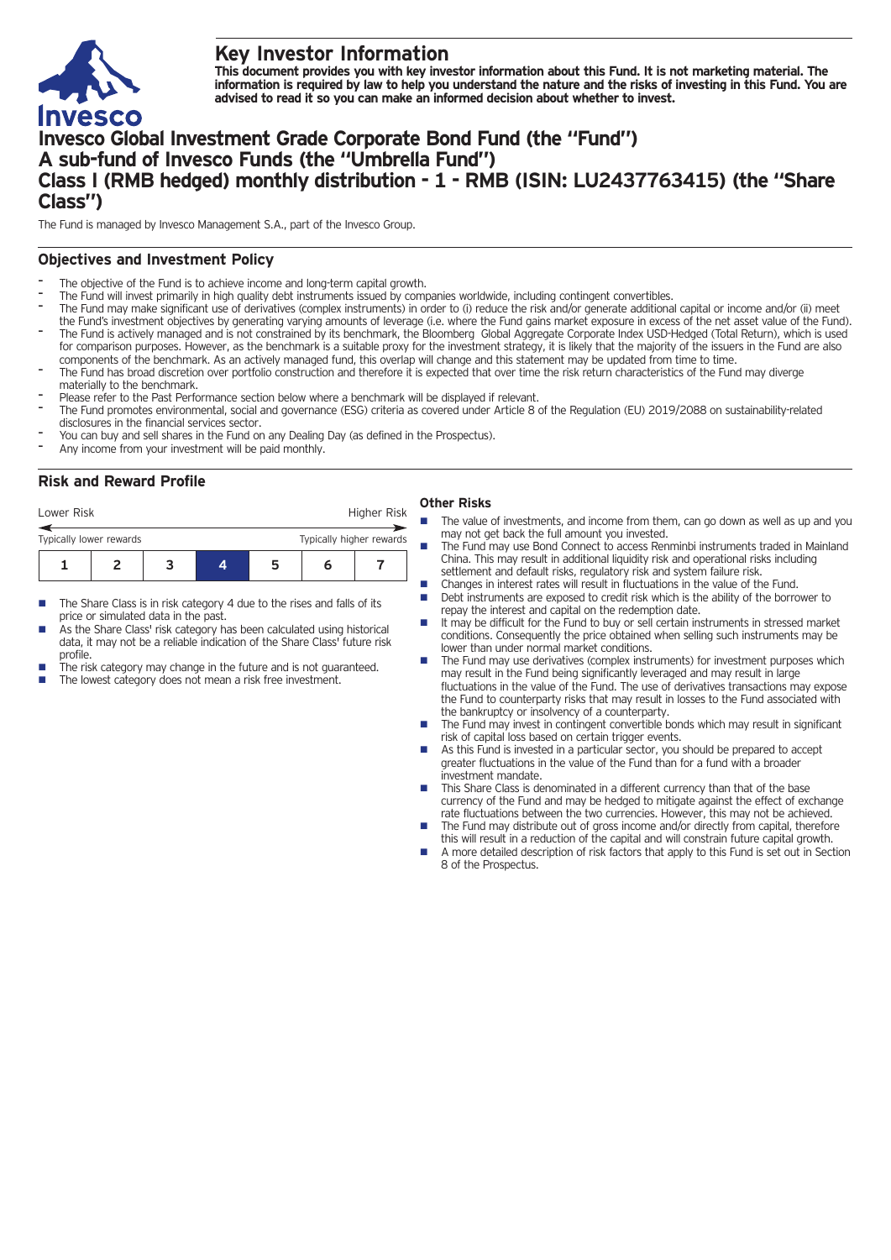

# **Key Investor Information**

This document provides you with key investor information about this Fund. It is not marketing material. The information is required by law to help you understand the nature and the risks of investing in this Fund. You are **advised to read it so you can make an informed decision about whether to invest.**

# **Invesco Global Investment Grade Corporate Bond Fund (the "Fund") A sub-fund of Invesco Funds (the "Umbrella Fund") Class I (RMB hedged) monthly distribution - 1 - RMB (ISIN: LU2437763415) (the "Share Class")**

The Fund is managed by Invesco Management S.A., part of the Invesco Group.

## **Objectives and Investment Policy**

- The objective of the Fund is to achieve income and long-term capital growth.
- The Fund will invest primarily in high quality debt instruments issued by companies worldwide, including contingent convertibles.
- The Fund may make significant use of derivatives (complex instruments) in order to (i) reduce the risk and/or generate additional capital or income and/or (ii) meet the Fund's investment objectives by generating varying amounts of leverage (i.e. where the Fund gains market exposure in excess of the net asset value of the Fund).
- The Fund is actively managed and is not constrained by its benchmark, the Bloomberg Global Aggregate Corporate Index USD-Hedged (Total Return), which is used for comparison purposes. However, as the benchmark is a suitable proxy for the investment strategy, it is likely that the majority of the issuers in the Fund are also components of the benchmark. As an actively managed fund, this overlap will change and this statement may be updated from time to time.
- The Fund has broad discretion over portfolio construction and therefore it is expected that over time the risk return characteristics of the Fund may diverge materially to the benchmark.
- Please refer to the Past Performance section below where a benchmark will be displayed if relevant.
- The Fund promotes environmental, social and governance (ESG) criteria as covered under Article 8 of the Regulation (EU) 2019/2088 on sustainability-related disclosures in the financial services sector.
- You can buy and sell shares in the Fund on any Dealing Day (as defined in the Prospectus).
- Any income from your investment will be paid monthly.

## **Risk and Reward Profile**

| Lower Risk              |  |  | Higher Risk              |   |  |  |  |
|-------------------------|--|--|--------------------------|---|--|--|--|
| Typically lower rewards |  |  | Typically higher rewards |   |  |  |  |
|                         |  |  |                          | h |  |  |  |

- The Share Class is in risk category 4 due to the rises and falls of its price or simulated data in the past.
- As the Share Class' risk category has been calculated using historical data, it may not be a reliable indication of the Share Class' future risk profile.
- The risk category may change in the future and is not guaranteed.
- The lowest category does not mean a risk free investment.

### **Other Risks**

- The value of investments, and income from them, can go down as well as up and you may not get back the full amount you invested.
- n The Fund may use Bond Connect to access Renminbi instruments traded in Mainland China. This may result in additional liquidity risk and operational risks including settlement and default risks, regulatory risk and system failure risk.
- n Changes in interest rates will result in fluctuations in the value of the Fund.
- n Debt instruments are exposed to credit risk which is the ability of the borrower to repay the interest and capital on the redemption date.
- $\blacksquare$  It may be difficult for the Fund to buy or sell certain instruments in stressed market conditions. Consequently the price obtained when selling such instruments may be lower than under normal market conditions.
- The Fund may use derivatives (complex instruments) for investment purposes which may result in the Fund being significantly leveraged and may result in large fluctuations in the value of the Fund. The use of derivatives transactions may expose the Fund to counterparty risks that may result in losses to the Fund associated with the bankruptcy or insolvency of a counterparty.
- The Fund may invest in contingent convertible bonds which may result in significant risk of capital loss based on certain trigger events.
- As this Fund is invested in a particular sector, you should be prepared to accept greater fluctuations in the value of the Fund than for a fund with a broader investment mandate.
- This Share Class is denominated in a different currency than that of the base currency of the Fund and may be hedged to mitigate against the effect of exchange rate fluctuations between the two currencies. However, this may not be achieved.
- The Fund may distribute out of gross income and/or directly from capital, therefore this will result in a reduction of the capital and will constrain future capital growth.
- n A more detailed description of risk factors that apply to this Fund is set out in Section 8 of the Prospectus.